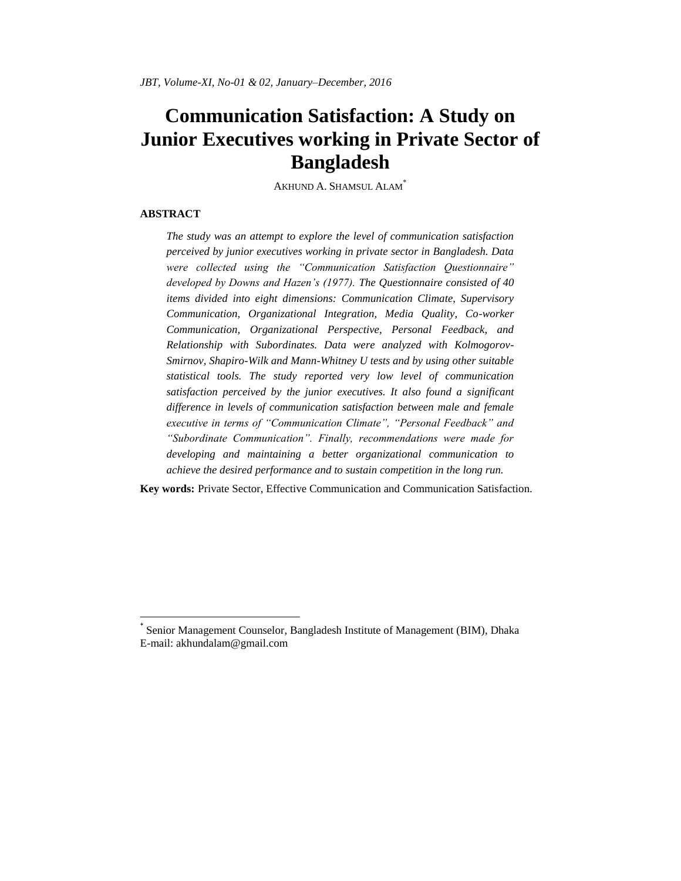# **Communication Satisfaction: A Study on Junior Executives working in Private Sector of Bangladesh**

AKHUND A. SHAMSUL ALAM\*

#### **ABSTRACT**

l

*The study was an attempt to explore the level of communication satisfaction perceived by junior executives working in private sector in Bangladesh. Data were collected using the "Communication Satisfaction Questionnaire" developed by Downs and Hazen's (1977). The Questionnaire consisted of 40 items divided into eight dimensions: Communication Climate, Supervisory Communication, Organizational Integration, Media Quality, Co-worker Communication, Organizational Perspective, Personal Feedback, and Relationship with Subordinates. Data were analyzed with Kolmogorov-Smirnov, Shapiro-Wilk and Mann-Whitney U tests and by using other suitable statistical tools. The study reported very low level of communication satisfaction perceived by the junior executives. It also found a significant difference in levels of communication satisfaction between male and female executive in terms of "Communication Climate", "Personal Feedback" and "Subordinate Communication". Finally, recommendations were made for developing and maintaining a better organizational communication to achieve the desired performance and to sustain competition in the long run.*

**Key words:** Private Sector, Effective Communication and Communication Satisfaction.

<sup>\*</sup> Senior Management Counselor, Bangladesh Institute of Management (BIM), Dhaka E-mail: [akhundalam@gmail.com](mailto:akhundalam@gmail.com)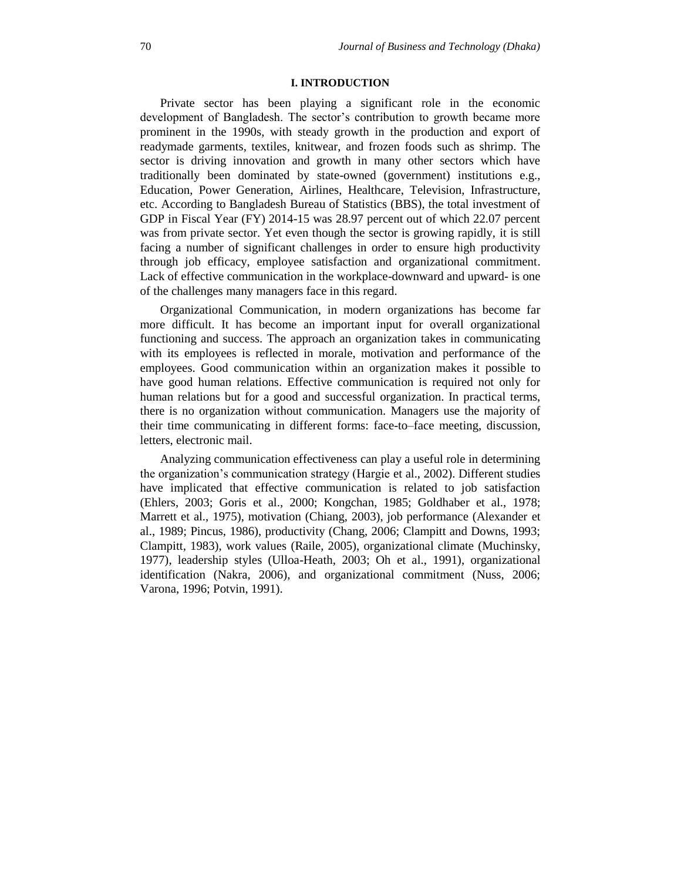# **I. INTRODUCTION**

Private sector has been playing a significant role in the economic development of Bangladesh. The sector's contribution to growth became more prominent in the 1990s, with steady growth in the production and export of readymade garments, textiles, knitwear, and frozen foods such as shrimp. The sector is driving innovation and growth in many other sectors which have traditionally been dominated by state-owned (government) institutions e.g., Education, Power Generation, Airlines, Healthcare, Television, Infrastructure, etc. According to Bangladesh Bureau of Statistics (BBS), the total investment of GDP in Fiscal Year (FY) 2014-15 was 28.97 percent out of which 22.07 percent was from private sector. Yet even though the sector is growing rapidly, it is still facing a number of significant challenges in order to ensure high productivity through job efficacy, employee satisfaction and organizational commitment. Lack of effective communication in the workplace-downward and upward- is one of the challenges many managers face in this regard.

Organizational Communication, in modern organizations has become far more difficult. It has become an important input for overall organizational functioning and success. The approach an organization takes in communicating with its employees is reflected in morale, motivation and performance of the employees. Good communication within an organization makes it possible to have good human relations. Effective communication is required not only for human relations but for a good and successful organization. In practical terms, there is no organization without communication. Managers use the majority of their time communicating in different forms: face-to–face meeting, discussion, letters, electronic mail.

Analyzing communication effectiveness can play a useful role in determining the organization"s communication strategy (Hargie et al., 2002). Different studies have implicated that effective communication is related to job satisfaction (Ehlers, 2003; Goris et al., 2000; Kongchan, 1985; Goldhaber et al., 1978; Marrett et al., 1975), motivation (Chiang, 2003), job performance (Alexander et al., 1989; Pincus, 1986), productivity (Chang, 2006; Clampitt and Downs, 1993; Clampitt, 1983), work values (Raile, 2005), organizational climate (Muchinsky, 1977), leadership styles (Ulloa-Heath, 2003; Oh et al., 1991), organizational identification (Nakra, 2006), and organizational commitment (Nuss, 2006; Varona, 1996; Potvin, 1991).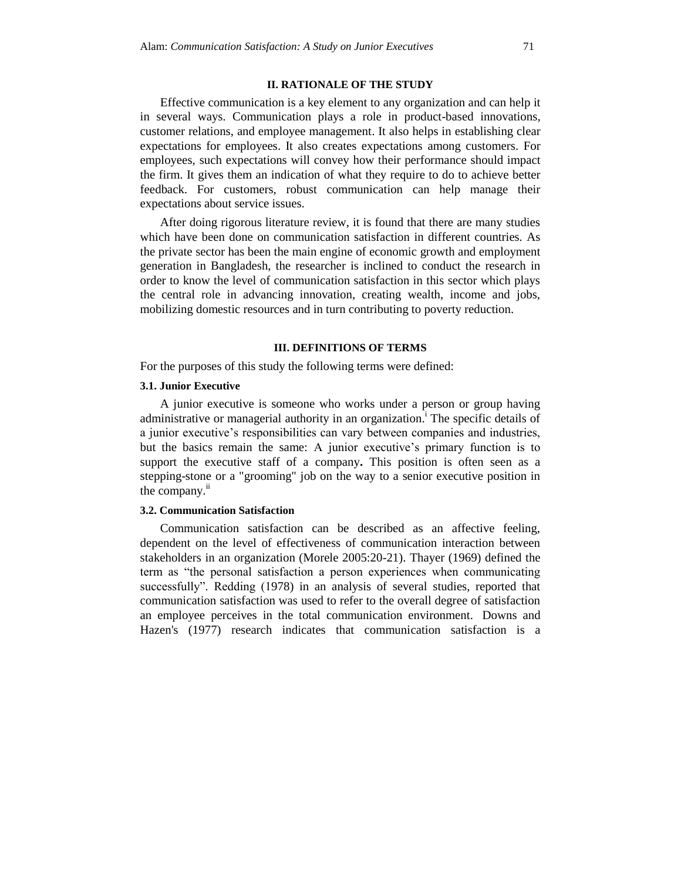#### **II. RATIONALE OF THE STUDY**

Effective communication is a key element to any organization and can help it in several ways. Communication plays a role in product-based innovations, customer relations, and employee management. It also helps in establishing clear expectations for employees. It also creates expectations among customers. For employees, such expectations will convey how their performance should impact the firm. It gives them an indication of what they require to do to achieve better feedback. For customers, robust communication can help manage their expectations about service issues.

After doing rigorous literature review, it is found that there are many studies which have been done on communication satisfaction in different countries. As the private sector has been the main engine of economic growth and employment generation in Bangladesh, the researcher is inclined to conduct the research in order to know the level of communication satisfaction in this sector which plays the central role in advancing innovation, creating wealth, income and jobs, mobilizing domestic resources and in turn contributing to poverty reduction.

#### **III. DEFINITIONS OF TERMS**

For the purposes of this study the following terms were defined:

# **3.1. Junior Executive**

A junior executive is someone who works under a person or group having administrative or managerial authority in an organization.<sup>1</sup> The specific details of a junior executive"s responsibilities can vary between companies and industries, but the basics remain the same: A junior executive's primary function is to support the executive staff of a company**.** This position is often seen as a stepping-stone or a "grooming" job on the way to a senior executive position in the company. $\mathrm{ii}$ 

#### **3.2. Communication Satisfaction**

Communication satisfaction can be described as an affective feeling, dependent on the level of effectiveness of communication interaction between stakeholders in an organization (Morele 2005:20-21). Thayer (1969) defined the term as "the personal satisfaction a person experiences when communicating successfully". Redding (1978) in an analysis of several studies, reported that communication satisfaction was used to refer to the overall degree of satisfaction an employee perceives in the total communication environment. Downs and Hazen's (1977) research indicates that communication satisfaction is a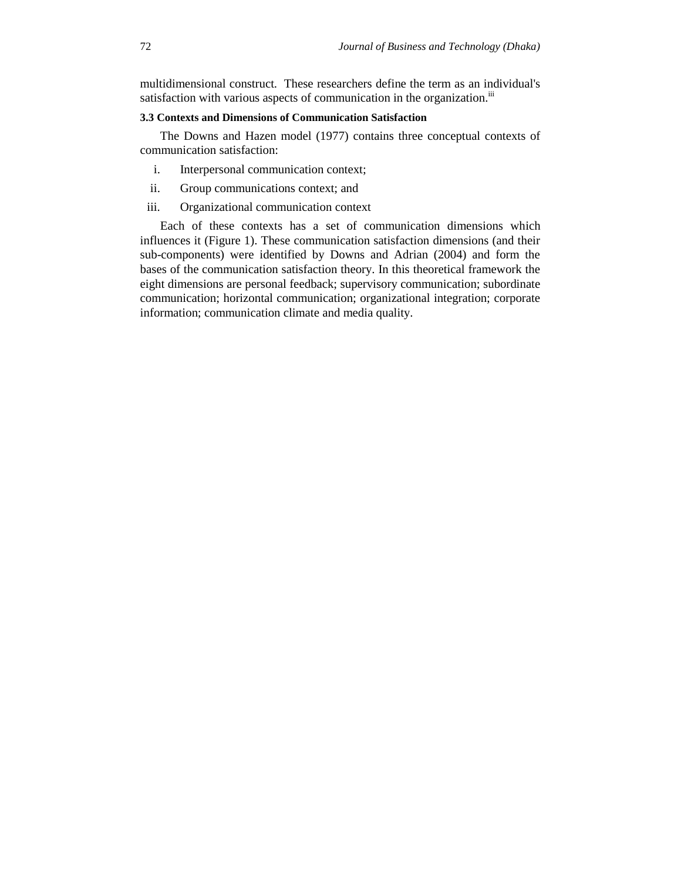multidimensional construct. These researchers define the term as an individual's satisfaction with various aspects of communication in the organization.<sup>iii</sup>

# **3.3 Contexts and Dimensions of Communication Satisfaction**

The Downs and Hazen model (1977) contains three conceptual contexts of communication satisfaction:

- i. Interpersonal communication context;
- ii. Group communications context; and
- iii. Organizational communication context

Each of these contexts has a set of communication dimensions which influences it (Figure 1). These communication satisfaction dimensions (and their sub-components) were identified by Downs and Adrian (2004) and form the bases of the communication satisfaction theory. In this theoretical framework the eight dimensions are personal feedback; supervisory communication; subordinate communication; horizontal communication; organizational integration; corporate information; communication climate and media quality.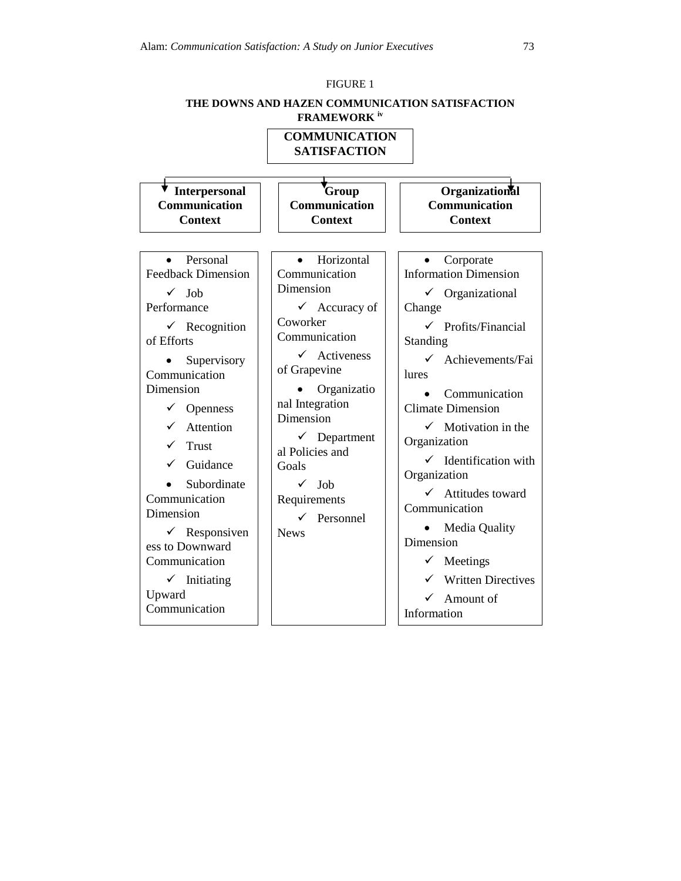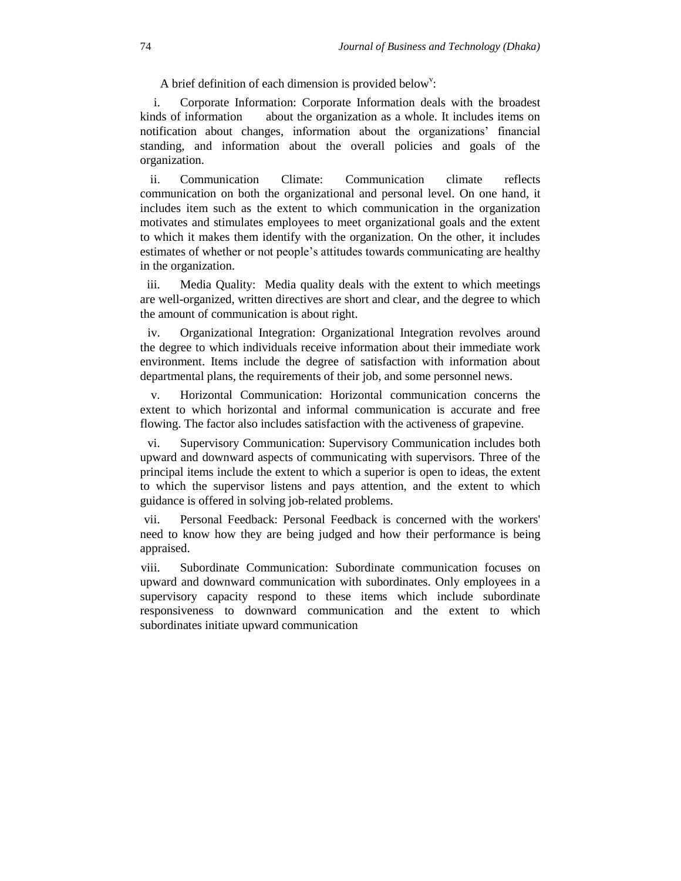A brief definition of each dimension is provided below<sup>v</sup>:

i. Corporate Information: Corporate Information deals with the broadest kinds of information about the organization as a whole. It includes items on notification about changes, information about the organizations" financial standing, and information about the overall policies and goals of the organization.

ii. Communication Climate: Communication climate reflects communication on both the organizational and personal level. On one hand, it includes item such as the extent to which communication in the organization motivates and stimulates employees to meet organizational goals and the extent to which it makes them identify with the organization. On the other, it includes estimates of whether or not people"s attitudes towards communicating are healthy in the organization.

iii. Media Quality: Media quality deals with the extent to which meetings are well-organized, written directives are short and clear, and the degree to which the amount of communication is about right.

iv. Organizational Integration: Organizational Integration revolves around the degree to which individuals receive information about their immediate work environment. Items include the degree of satisfaction with information about departmental plans, the requirements of their job, and some personnel news.

v. Horizontal Communication: Horizontal communication concerns the extent to which horizontal and informal communication is accurate and free flowing. The factor also includes satisfaction with the activeness of grapevine.

vi. Supervisory Communication: Supervisory Communication includes both upward and downward aspects of communicating with supervisors. Three of the principal items include the extent to which a superior is open to ideas, the extent to which the supervisor listens and pays attention, and the extent to which guidance is offered in solving job-related problems.

vii. Personal Feedback: Personal Feedback is concerned with the workers' need to know how they are being judged and how their performance is being appraised.

viii. Subordinate Communication: Subordinate communication focuses on upward and downward communication with subordinates. Only employees in a supervisory capacity respond to these items which include subordinate responsiveness to downward communication and the extent to which subordinates initiate upward communication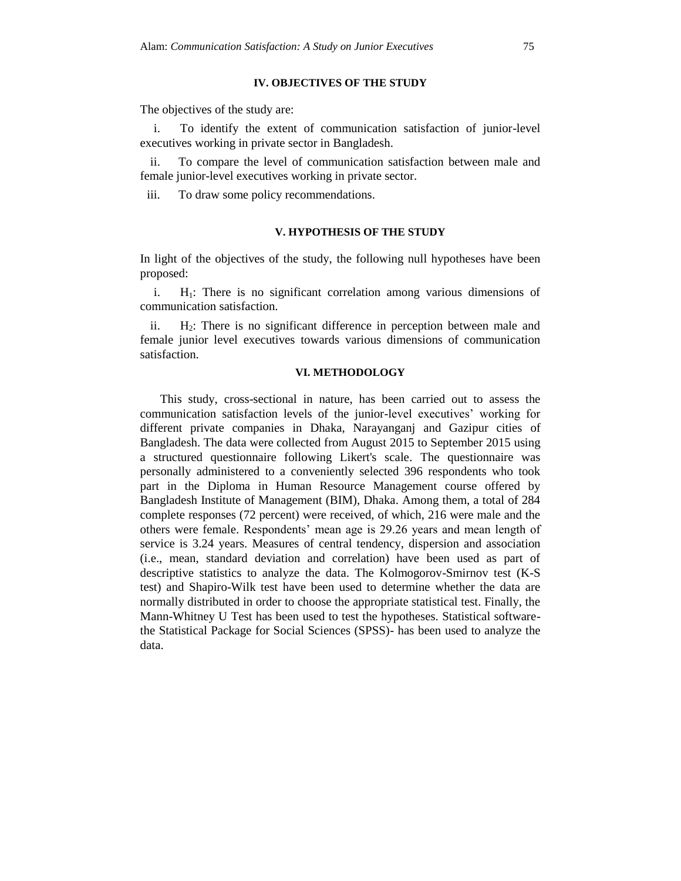### **IV. OBJECTIVES OF THE STUDY**

The objectives of the study are:

i. To identify the extent of communication satisfaction of junior-level executives working in private sector in Bangladesh.

ii. To compare the level of communication satisfaction between male and female junior-level executives working in private sector.

iii. To draw some policy recommendations.

#### **V. HYPOTHESIS OF THE STUDY**

In light of the objectives of the study, the following null hypotheses have been proposed:

i.  $H_1$ : There is no significant correlation among various dimensions of communication satisfaction.

ii. H2: There is no significant difference in perception between male and female junior level executives towards various dimensions of communication satisfaction.

#### **VI. METHODOLOGY**

This study, cross-sectional in nature, has been carried out to assess the communication satisfaction levels of the junior-level executives' working for different private companies in Dhaka, Narayanganj and Gazipur cities of Bangladesh. The data were collected from August 2015 to September 2015 using a structured questionnaire following Likert's scale. The questionnaire was personally administered to a conveniently selected 396 respondents who took part in the Diploma in Human Resource Management course offered by Bangladesh Institute of Management (BIM), Dhaka. Among them, a total of 284 complete responses (72 percent) were received, of which, 216 were male and the others were female. Respondents" mean age is 29.26 years and mean length of service is 3.24 years. Measures of central tendency, dispersion and association (i.e., mean, standard deviation and correlation) have been used as part of descriptive statistics to analyze the data. The Kolmogorov-Smirnov test (K-S test) and Shapiro-Wilk test have been used to determine whether the data are normally distributed in order to choose the appropriate statistical test. Finally, the Mann-Whitney U Test has been used to test the hypotheses. Statistical softwarethe Statistical Package for Social Sciences (SPSS)- has been used to analyze the data.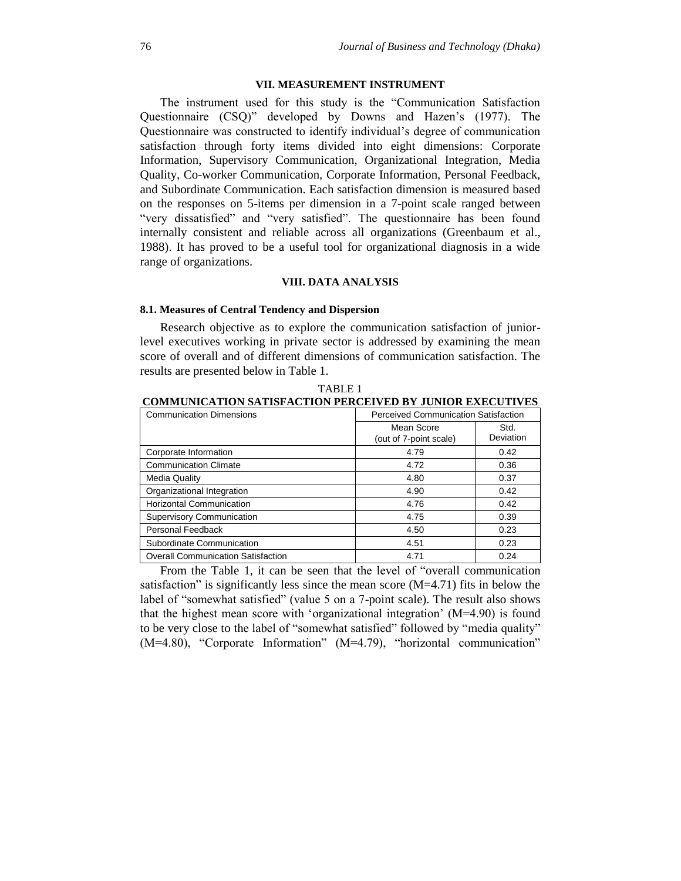#### **VII. MEASUREMENT INSTRUMENT**

The instrument used for this study is the "Communication Satisfaction Questionnaire (CSQ)" developed by Downs and Hazen's (1977). The Questionnaire was constructed to identify individual"s degree of communication satisfaction through forty items divided into eight dimensions: Corporate Information, Supervisory Communication, Organizational Integration, Media Quality, Co-worker Communication, Corporate Information, Personal Feedback, and Subordinate Communication. Each satisfaction dimension is measured based on the responses on 5-items per dimension in a 7-point scale ranged between "very dissatisfied" and "very satisfied". The questionnaire has been found internally consistent and reliable across all organizations (Greenbaum et al., 1988). It has proved to be a useful tool for organizational diagnosis in a wide range of organizations.

# **VIII. DATA ANALYSIS**

#### **8.1. Measures of Central Tendency and Dispersion**

Research objective as to explore the communication satisfaction of juniorlevel executives working in private sector is addressed by examining the mean score of overall and of different dimensions of communication satisfaction. The results are presented below in Table 1.

| <b>Communication Dimensions</b>           | <b>Perceived Communication Satisfaction</b> |                   |  |  |
|-------------------------------------------|---------------------------------------------|-------------------|--|--|
|                                           | Mean Score<br>(out of 7-point scale)        | Std.<br>Deviation |  |  |
| Corporate Information                     | 4.79                                        | 0.42              |  |  |
| <b>Communication Climate</b>              | 4.72                                        | 0.36              |  |  |
| Media Quality                             | 4.80                                        | 0.37              |  |  |
| Organizational Integration                | 4.90                                        | 0.42              |  |  |
| <b>Horizontal Communication</b>           | 4.76                                        | 0.42              |  |  |
| <b>Supervisory Communication</b>          | 4.75                                        | 0.39              |  |  |
| Personal Feedback                         | 4.50                                        | 0.23              |  |  |
| Subordinate Communication                 | 4.51                                        | 0.23              |  |  |
| <b>Overall Communication Satisfaction</b> | 4.71                                        | 0.24              |  |  |

TABLE 1 **COMMUNICATION SATISFACTION PERCEIVED BY JUNIOR EXECUTIVES**

From the Table 1, it can be seen that the level of "overall communication satisfaction" is significantly less since the mean score (M=4.71) fits in below the label of "somewhat satisfied" (value 5 on a 7-point scale). The result also shows that the highest mean score with "organizational integration" (M=4.90) is found to be very close to the label of "somewhat satisfied" followed by "media quality" (M=4.80), "Corporate Information" (M=4.79), "horizontal communication"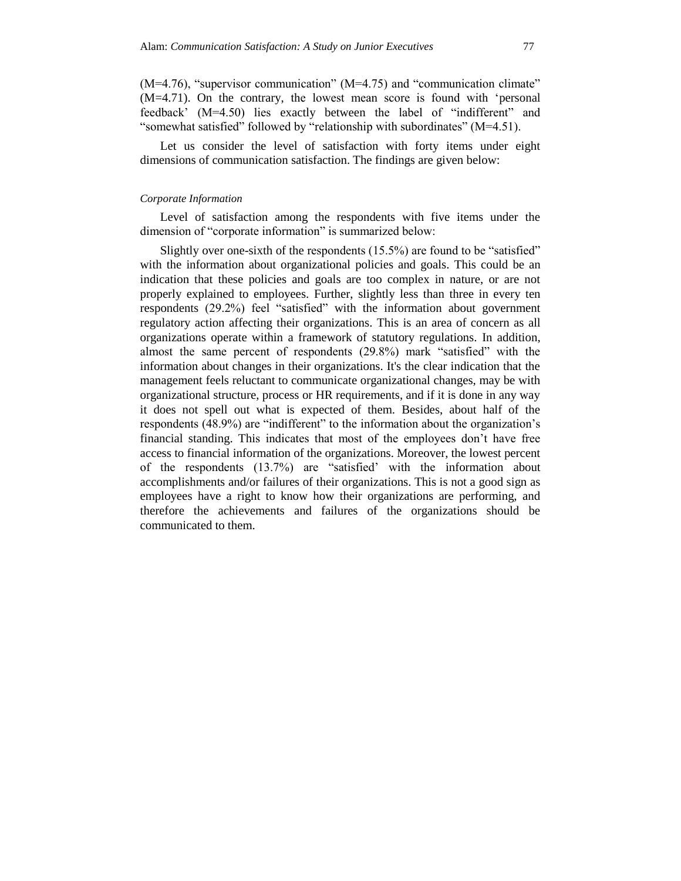(M=4.76), "supervisor communication" (M=4.75) and "communication climate" (M=4.71). On the contrary, the lowest mean score is found with "personal feedback" (M=4.50) lies exactly between the label of "indifferent" and "somewhat satisfied" followed by "relationship with subordinates" (M=4.51).

Let us consider the level of satisfaction with forty items under eight dimensions of communication satisfaction. The findings are given below:

#### *Corporate Information*

Level of satisfaction among the respondents with five items under the dimension of "corporate information" is summarized below:

Slightly over one-sixth of the respondents (15.5%) are found to be "satisfied" with the information about organizational policies and goals. This could be an indication that these policies and goals are too complex in nature, or are not properly explained to employees. Further, slightly less than three in every ten respondents (29.2%) feel "satisfied" with the information about government regulatory action affecting their organizations. This is an area of concern as all organizations operate within a framework of statutory regulations. In addition, almost the same percent of respondents (29.8%) mark "satisfied" with the information about changes in their organizations. It's the clear indication that the management feels reluctant to communicate organizational changes, may be with organizational structure, process or HR requirements, and if it is done in any way it does not spell out what is expected of them. Besides, about half of the respondents (48.9%) are "indifferent" to the information about the organization"s financial standing. This indicates that most of the employees don"t have free access to financial information of the organizations. Moreover, the lowest percent of the respondents (13.7%) are "satisfied" with the information about accomplishments and/or failures of their organizations. This is not a good sign as employees have a right to know how their organizations are performing, and therefore the achievements and failures of the organizations should be communicated to them.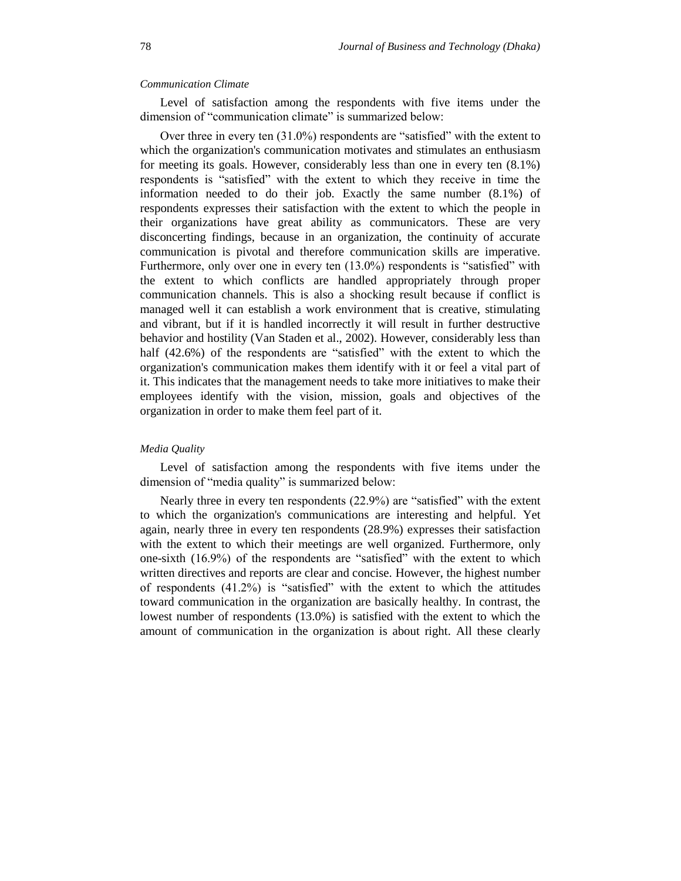#### *Communication Climate*

Level of satisfaction among the respondents with five items under the dimension of "communication climate" is summarized below:

Over three in every ten (31.0%) respondents are "satisfied" with the extent to which the organization's communication motivates and stimulates an enthusiasm for meeting its goals. However, considerably less than one in every ten (8.1%) respondents is "satisfied" with the extent to which they receive in time the information needed to do their job. Exactly the same number (8.1%) of respondents expresses their satisfaction with the extent to which the people in their organizations have great ability as communicators. These are very disconcerting findings, because in an organization, the continuity of accurate communication is pivotal and therefore communication skills are imperative. Furthermore, only over one in every ten  $(13.0%)$  respondents is "satisfied" with the extent to which conflicts are handled appropriately through proper communication channels. This is also a shocking result because if conflict is managed well it can establish a work environment that is creative, stimulating and vibrant, but if it is handled incorrectly it will result in further destructive behavior and hostility (Van Staden et al., 2002). However, considerably less than half (42.6%) of the respondents are "satisfied" with the extent to which the organization's communication makes them identify with it or feel a vital part of it. This indicates that the management needs to take more initiatives to make their employees identify with the vision, mission, goals and objectives of the organization in order to make them feel part of it.

#### *Media Quality*

Level of satisfaction among the respondents with five items under the dimension of "media quality" is summarized below:

Nearly three in every ten respondents (22.9%) are "satisfied" with the extent to which the organization's communications are interesting and helpful. Yet again, nearly three in every ten respondents (28.9%) expresses their satisfaction with the extent to which their meetings are well organized. Furthermore, only one-sixth (16.9%) of the respondents are "satisfied" with the extent to which written directives and reports are clear and concise. However, the highest number of respondents (41.2%) is "satisfied" with the extent to which the attitudes toward communication in the organization are basically healthy. In contrast, the lowest number of respondents (13.0%) is satisfied with the extent to which the amount of communication in the organization is about right. All these clearly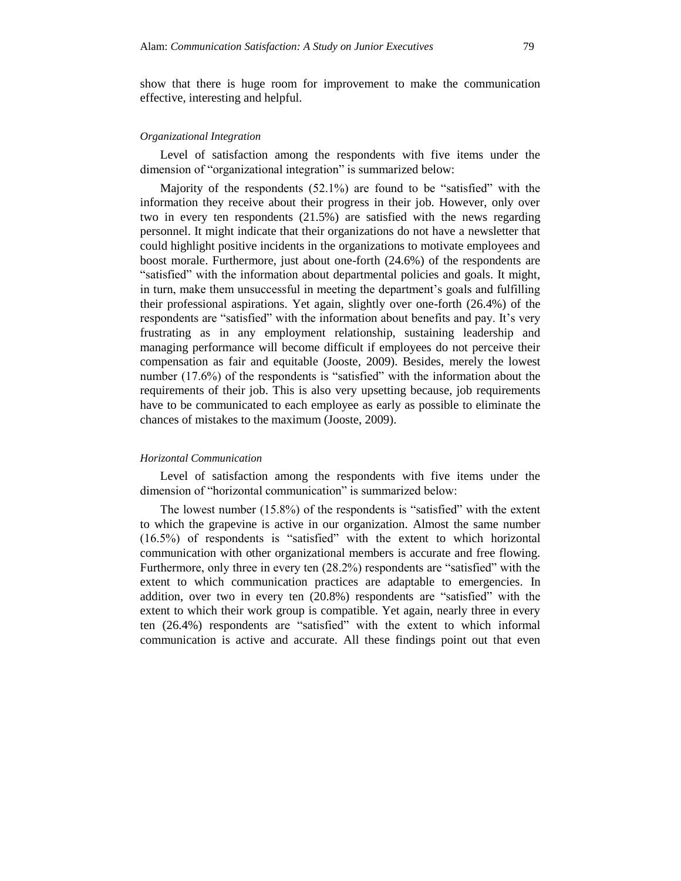show that there is huge room for improvement to make the communication effective, interesting and helpful.

#### *Organizational Integration*

Level of satisfaction among the respondents with five items under the dimension of "organizational integration" is summarized below:

Majority of the respondents (52.1%) are found to be "satisfied" with the information they receive about their progress in their job. However, only over two in every ten respondents (21.5%) are satisfied with the news regarding personnel. It might indicate that their organizations do not have a newsletter that could highlight positive incidents in the organizations to motivate employees and boost morale. Furthermore, just about one-forth (24.6%) of the respondents are "satisfied" with the information about departmental policies and goals. It might, in turn, make them unsuccessful in meeting the department's goals and fulfilling their professional aspirations. Yet again, slightly over one-forth (26.4%) of the respondents are "satisfied" with the information about benefits and pay. It's very frustrating as in any employment relationship, sustaining leadership and managing performance will become difficult if employees do not perceive their compensation as fair and equitable (Jooste, 2009). Besides, merely the lowest number (17.6%) of the respondents is "satisfied" with the information about the requirements of their job. This is also very upsetting because, job requirements have to be communicated to each employee as early as possible to eliminate the chances of mistakes to the maximum (Jooste, 2009).

#### *Horizontal Communication*

Level of satisfaction among the respondents with five items under the dimension of "horizontal communication" is summarized below:

The lowest number (15.8%) of the respondents is "satisfied" with the extent to which the grapevine is active in our organization. Almost the same number (16.5%) of respondents is "satisfied" with the extent to which horizontal communication with other organizational members is accurate and free flowing. Furthermore, only three in every ten (28.2%) respondents are "satisfied" with the extent to which communication practices are adaptable to emergencies. In addition, over two in every ten (20.8%) respondents are "satisfied" with the extent to which their work group is compatible. Yet again, nearly three in every ten (26.4%) respondents are "satisfied" with the extent to which informal communication is active and accurate. All these findings point out that even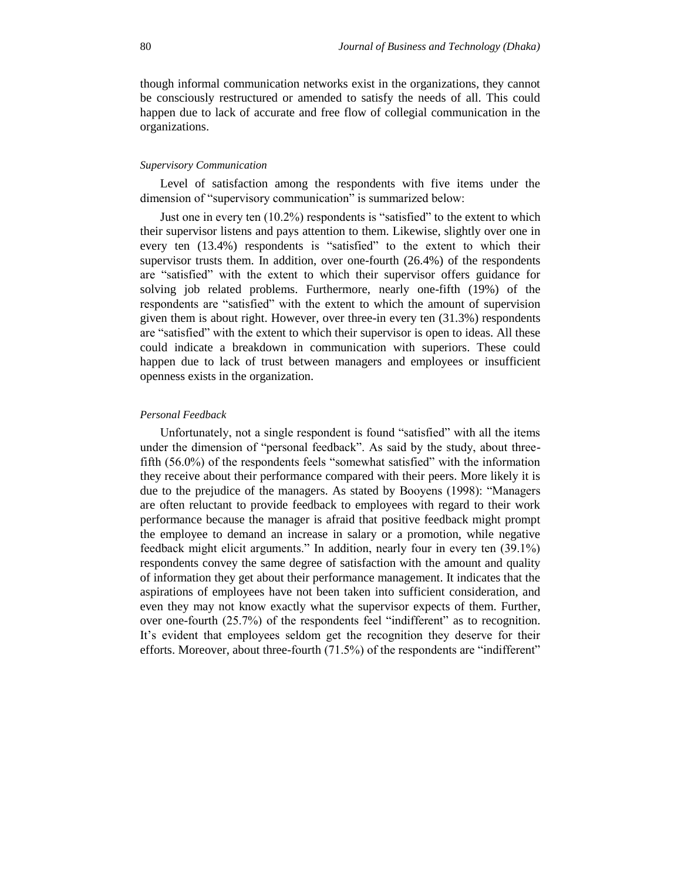though informal communication networks exist in the organizations, they cannot be consciously restructured or amended to satisfy the needs of all. This could happen due to lack of accurate and free flow of collegial communication in the organizations.

#### *Supervisory Communication*

Level of satisfaction among the respondents with five items under the dimension of "supervisory communication" is summarized below:

Just one in every ten (10.2%) respondents is "satisfied" to the extent to which their supervisor listens and pays attention to them. Likewise, slightly over one in every ten (13.4%) respondents is "satisfied" to the extent to which their supervisor trusts them. In addition, over one-fourth (26.4%) of the respondents are "satisfied" with the extent to which their supervisor offers guidance for solving job related problems. Furthermore, nearly one-fifth (19%) of the respondents are "satisfied" with the extent to which the amount of supervision given them is about right. However, over three-in every ten (31.3%) respondents are "satisfied" with the extent to which their supervisor is open to ideas. All these could indicate a breakdown in communication with superiors. These could happen due to lack of trust between managers and employees or insufficient openness exists in the organization.

#### *Personal Feedback*

Unfortunately, not a single respondent is found "satisfied" with all the items under the dimension of "personal feedback". As said by the study, about threefifth (56.0%) of the respondents feels "somewhat satisfied" with the information they receive about their performance compared with their peers. More likely it is due to the prejudice of the managers. As stated by Booyens (1998): "Managers are often reluctant to provide feedback to employees with regard to their work performance because the manager is afraid that positive feedback might prompt the employee to demand an increase in salary or a promotion, while negative feedback might elicit arguments." In addition, nearly four in every ten (39.1%) respondents convey the same degree of satisfaction with the amount and quality of information they get about their performance management. It indicates that the aspirations of employees have not been taken into sufficient consideration, and even they may not know exactly what the supervisor expects of them. Further, over one-fourth (25.7%) of the respondents feel "indifferent" as to recognition. It's evident that employees seldom get the recognition they deserve for their efforts. Moreover, about three-fourth (71.5%) of the respondents are "indifferent"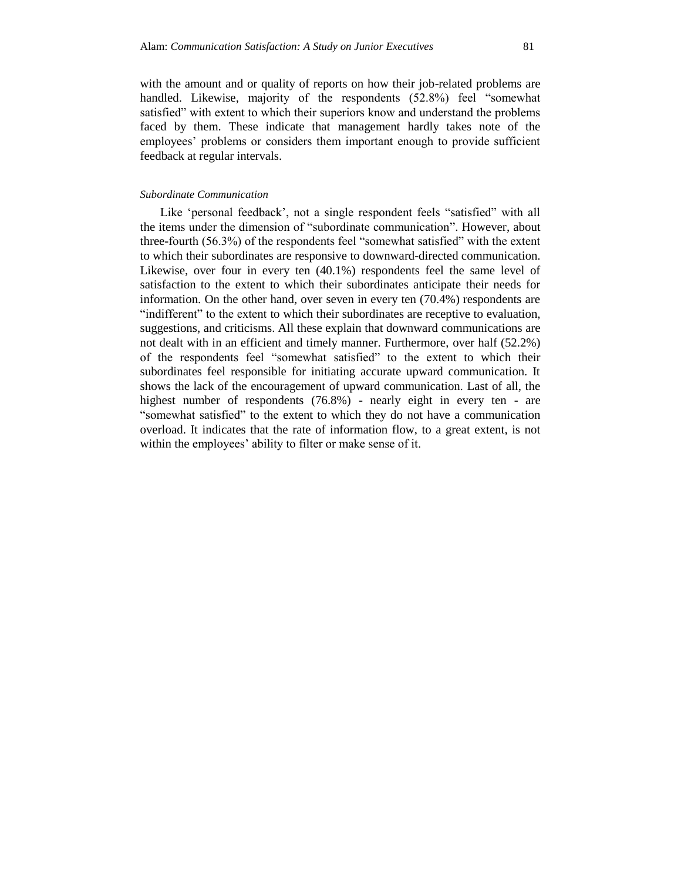with the amount and or quality of reports on how their job-related problems are handled. Likewise, majority of the respondents (52.8%) feel "somewhat satisfied" with extent to which their superiors know and understand the problems faced by them. These indicate that management hardly takes note of the employees" problems or considers them important enough to provide sufficient feedback at regular intervals.

#### *Subordinate Communication*

Like 'personal feedback', not a single respondent feels "satisfied" with all the items under the dimension of "subordinate communication". However, about three-fourth (56.3%) of the respondents feel "somewhat satisfied" with the extent to which their subordinates are responsive to downward-directed communication. Likewise, over four in every ten (40.1%) respondents feel the same level of satisfaction to the extent to which their subordinates anticipate their needs for information. On the other hand, over seven in every ten (70.4%) respondents are "indifferent" to the extent to which their subordinates are receptive to evaluation, suggestions, and criticisms. All these explain that downward communications are not dealt with in an efficient and timely manner. Furthermore, over half (52.2%) of the respondents feel "somewhat satisfied" to the extent to which their subordinates feel responsible for initiating accurate upward communication. It shows the lack of the encouragement of upward communication. Last of all, the highest number of respondents (76.8%) - nearly eight in every ten - are "somewhat satisfied" to the extent to which they do not have a communication overload. It indicates that the rate of information flow, to a great extent, is not within the employees' ability to filter or make sense of it.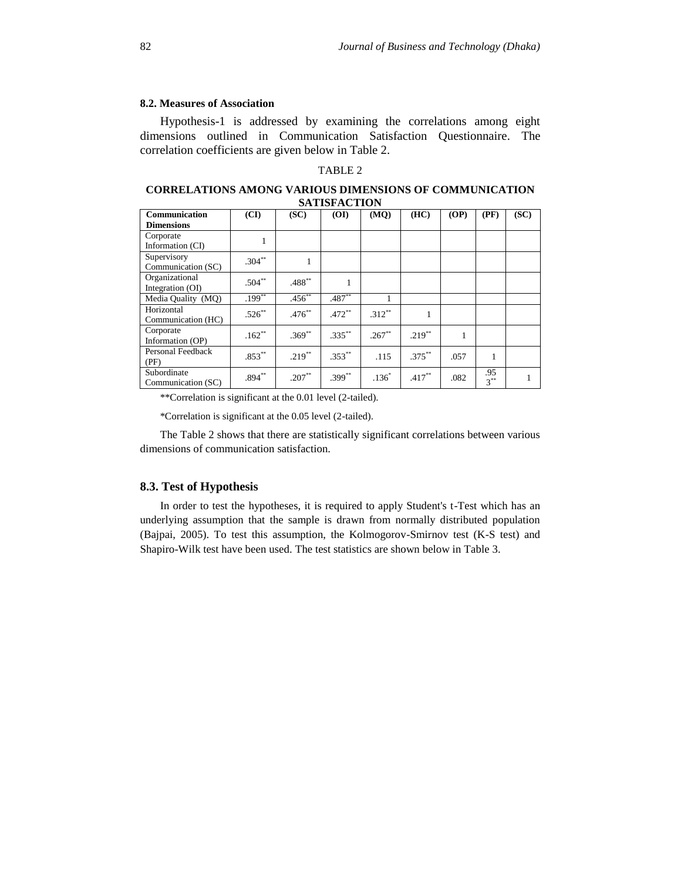#### **8.2. Measures of Association**

Hypothesis-1 is addressed by examining the correlations among eight dimensions outlined in Communication Satisfaction Questionnaire. The correlation coefficients are given below in Table 2.

# TABLE 2

**CORRELATIONS AMONG VARIOUS DIMENSIONS OF COMMUNICATION SATISFACTION**

| Communication      | (CI)      | (SC)        | (OI)        | (MQ)      | (HC)      | (OP) | (PF)   | (SC) |
|--------------------|-----------|-------------|-------------|-----------|-----------|------|--------|------|
| <b>Dimensions</b>  |           |             |             |           |           |      |        |      |
| Corporate          |           |             |             |           |           |      |        |      |
| Information (CI)   |           |             |             |           |           |      |        |      |
| Supervisory        | $.304**$  |             |             |           |           |      |        |      |
| Communication (SC) |           |             |             |           |           |      |        |      |
| Organizational     | $.504**$  | .488**      |             |           |           |      |        |      |
| Integration (OI)   |           |             |             |           |           |      |        |      |
| Media Quality (MQ) | $.199**$  | $.456^{**}$ | $.487**$    |           |           |      |        |      |
| Horizontal         | $.526***$ | $.476***$   | $.472**$    | $.312**$  | 1         |      |        |      |
| Communication (HC) |           |             |             |           |           |      |        |      |
| Corporate          | $.162**$  | $.369^{**}$ | $.335***$   | $.267***$ | $.219***$ |      |        |      |
| Information (OP)   |           |             |             |           |           |      |        |      |
| Personal Feedback  | $.853***$ | $.219***$   | $.353^{**}$ | .115      | $.375***$ | .057 | 1      |      |
| (PF)               |           |             |             |           |           |      |        |      |
| Subordinate        | $.894***$ | $.207**$    | $.399^{**}$ | $.136*$   | $.417***$ | .082 | .95    |      |
| Communication (SC) |           |             |             |           |           |      | $3***$ |      |

\*\*Correlation is significant at the 0.01 level (2-tailed).

\*Correlation is significant at the 0.05 level (2-tailed).

The Table 2 shows that there are statistically significant correlations between various dimensions of communication satisfaction.

#### **8.3. Test of Hypothesis**

In order to test the hypotheses, it is required to apply Student's t-Test which has an underlying assumption that the sample is drawn from normally distributed population (Bajpai, 2005). To test this assumption, the Kolmogorov-Smirnov test (K-S test) and Shapiro-Wilk test have been used. The test statistics are shown below in Table 3.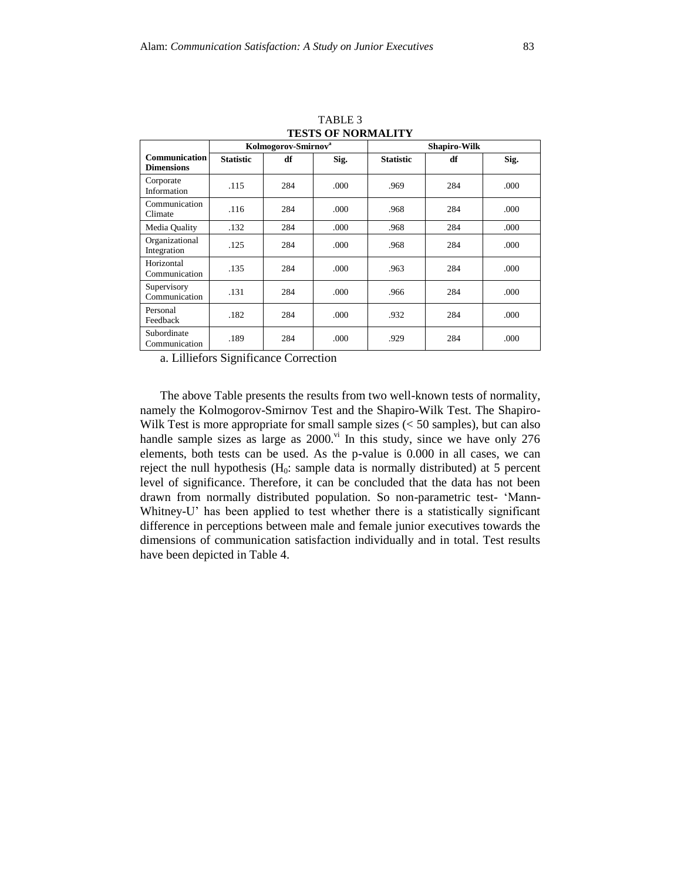|                                           |                                 |     | I ESTS UP INUKWALITT |                     |     |      |
|-------------------------------------------|---------------------------------|-----|----------------------|---------------------|-----|------|
|                                           | Kolmogorov-Smirnov <sup>a</sup> |     |                      | <b>Shapiro-Wilk</b> |     |      |
| <b>Communication</b><br><b>Dimensions</b> | <b>Statistic</b>                | df  | Sig.                 | <b>Statistic</b>    | df  | Sig. |
| Corporate<br>Information                  | .115                            | 284 | .000                 | .969                | 284 | .000 |
| Communication<br>Climate                  | .116                            | 284 | .000                 | .968                | 284 | .000 |
| Media Quality                             | .132                            | 284 | .000                 | .968                | 284 | .000 |
| Organizational<br>Integration             | .125                            | 284 | .000                 | .968                | 284 | .000 |
| Horizontal<br>Communication               | .135                            | 284 | .000                 | .963                | 284 | .000 |
| Supervisory<br>Communication              | .131                            | 284 | .000                 | .966                | 284 | .000 |
| Personal<br>Feedback                      | .182                            | 284 | .000                 | .932                | 284 | .000 |
| Subordinate<br>Communication              | .189                            | 284 | .000                 | .929                | 284 | .000 |

TABLE 3 **TESTS OF NORMALITY** 

a. Lilliefors Significance Correction

The above Table presents the results from two well-known tests of normality, namely the Kolmogorov-Smirnov Test and the Shapiro-Wilk Test. The Shapiro-Wilk Test is more appropriate for small sample sizes (< 50 samples), but can also handle sample sizes as large as  $2000$ .<sup>vi</sup> In this study, since we have only  $276$ elements, both tests can be used. As the p-value is 0.000 in all cases, we can reject the null hypothesis  $(H_0: \text{sample data is normally distributed})$  at 5 percent level of significance. Therefore, it can be concluded that the data has not been drawn from normally distributed population. So non-parametric test- "Mann-Whitney-U' has been applied to test whether there is a statistically significant difference in perceptions between male and female junior executives towards the dimensions of communication satisfaction individually and in total. Test results have been depicted in Table 4.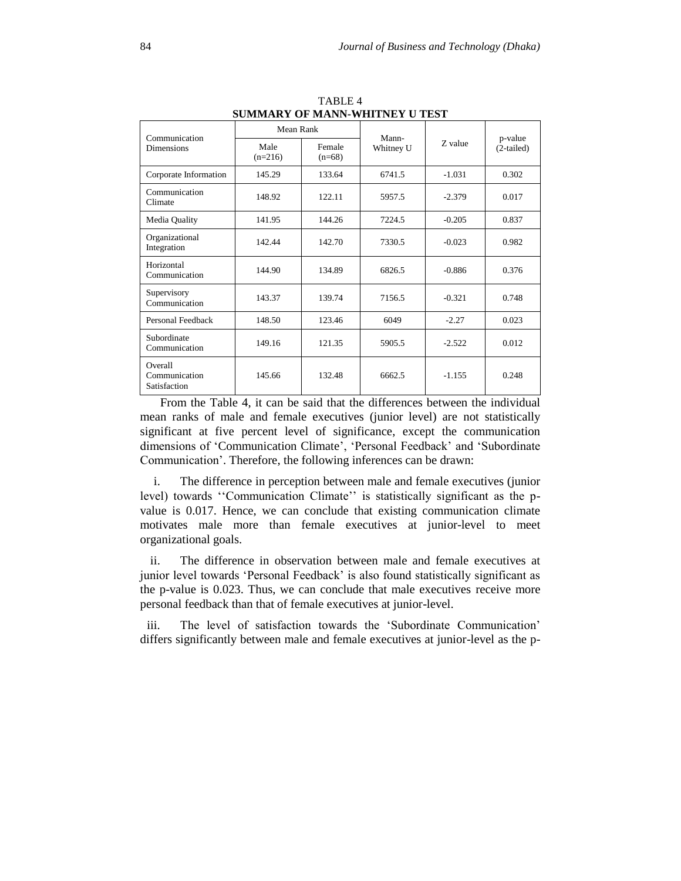| SUMMANI UF MANN-WHIINEI U IESI           |                                         |        |           |          |            |
|------------------------------------------|-----------------------------------------|--------|-----------|----------|------------|
| Communication                            | Mean Rank                               |        | Mann-     |          | p-value    |
| <b>Dimensions</b>                        | Male<br>Female<br>$(n=216)$<br>$(n=68)$ |        | Whitney U | Z value  | (2-tailed) |
| Corporate Information                    | 145.29                                  | 133.64 | 6741.5    | $-1.031$ | 0.302      |
| Communication<br>Climate                 | 148.92                                  | 122.11 | 5957.5    | $-2.379$ | 0.017      |
| Media Quality                            | 141.95                                  | 144.26 | 7224.5    | $-0.205$ | 0.837      |
| Organizational<br>Integration            | 142.44                                  | 142.70 | 7330.5    | $-0.023$ | 0.982      |
| Horizontal<br>Communication              | 144.90                                  | 134.89 | 6826.5    | $-0.886$ | 0.376      |
| Supervisory<br>Communication             | 143.37                                  | 139.74 | 7156.5    | $-0.321$ | 0.748      |
| Personal Feedback                        | 148.50                                  | 123.46 | 6049      | $-2.27$  | 0.023      |
| Subordinate<br>Communication             | 149.16                                  | 121.35 | 5905.5    | $-2.522$ | 0.012      |
| Overall<br>Communication<br>Satisfaction | 145.66                                  | 132.48 | 6662.5    | $-1.155$ | 0.248      |

TABLE 4 **SUMMARY OF MANN-WHITNEY U TEST**

From the Table 4, it can be said that the differences between the individual mean ranks of male and female executives (junior level) are not statistically significant at five percent level of significance, except the communication dimensions of 'Communication Climate', 'Personal Feedback' and 'Subordinate Communication". Therefore, the following inferences can be drawn:

i. The difference in perception between male and female executives (junior level) towards "Communication Climate" is statistically significant as the pvalue is 0.017. Hence, we can conclude that existing communication climate motivates male more than female executives at junior-level to meet organizational goals.

ii. The difference in observation between male and female executives at junior level towards "Personal Feedback" is also found statistically significant as the p-value is 0.023. Thus, we can conclude that male executives receive more personal feedback than that of female executives at junior-level.

iii. The level of satisfaction towards the "Subordinate Communication" differs significantly between male and female executives at junior-level as the p-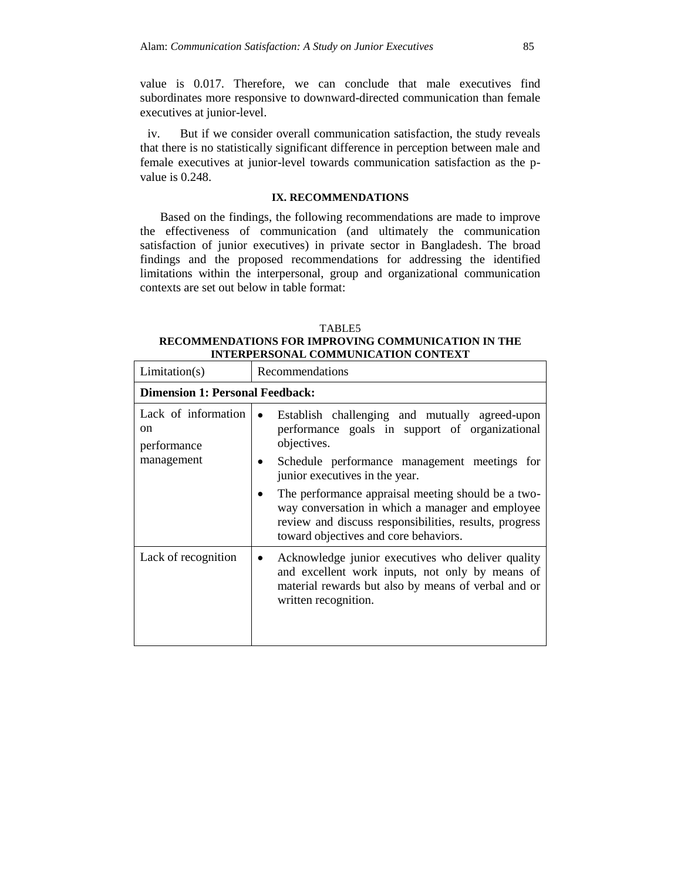value is 0.017. Therefore, we can conclude that male executives find subordinates more responsive to downward-directed communication than female executives at junior-level.

iv. But if we consider overall communication satisfaction, the study reveals that there is no statistically significant difference in perception between male and female executives at junior-level towards communication satisfaction as the pvalue is 0.248.

## **IX. RECOMMENDATIONS**

Based on the findings, the following recommendations are made to improve the effectiveness of communication (and ultimately the communication satisfaction of junior executives) in private sector in Bangladesh. The broad findings and the proposed recommendations for addressing the identified limitations within the interpersonal, group and organizational communication contexts are set out below in table format:

#### TABLE5

**RECOMMENDATIONS FOR IMPROVING COMMUNICATION IN THE INTERPERSONAL COMMUNICATION CONTEXT**

| Limitation(s)                                                     | Recommendations                                                                                                                                                                                           |  |  |
|-------------------------------------------------------------------|-----------------------------------------------------------------------------------------------------------------------------------------------------------------------------------------------------------|--|--|
| <b>Dimension 1: Personal Feedback:</b>                            |                                                                                                                                                                                                           |  |  |
| Lack of information<br><sub>on</sub><br>performance<br>management | Establish challenging and mutually agreed-upon<br>$\bullet$<br>performance goals in support of organizational<br>objectives.                                                                              |  |  |
|                                                                   | Schedule performance management meetings for<br>junior executives in the year.                                                                                                                            |  |  |
|                                                                   | The performance appraisal meeting should be a two-<br>way conversation in which a manager and employee<br>review and discuss responsibilities, results, progress<br>toward objectives and core behaviors. |  |  |
| Lack of recognition                                               | Acknowledge junior executives who deliver quality<br>and excellent work inputs, not only by means of<br>material rewards but also by means of verbal and or<br>written recognition.                       |  |  |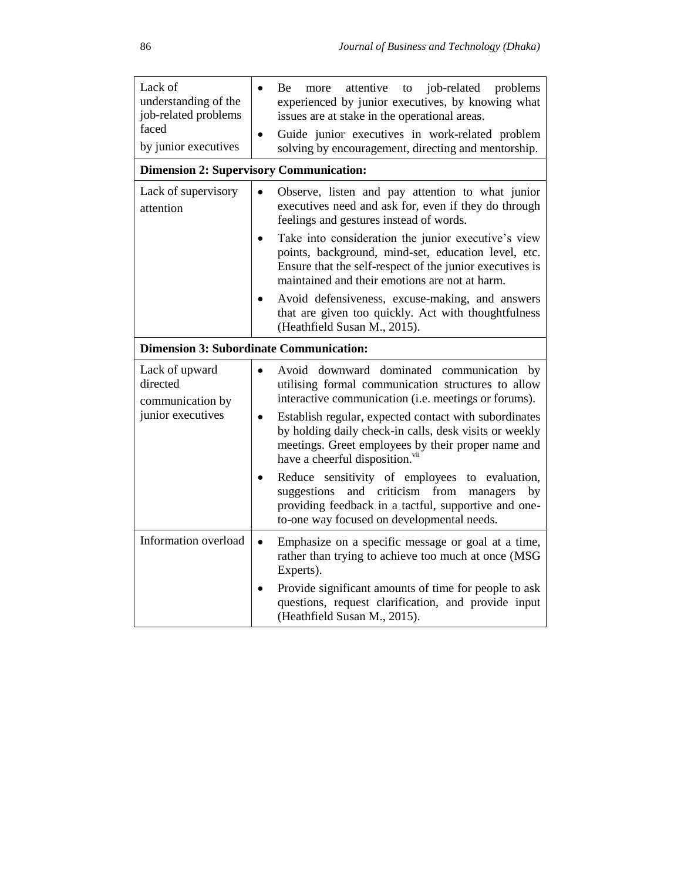| Lack of<br>understanding of the<br>job-related problems<br>faced<br>by junior executives | Be<br>job-related<br>problems<br>more<br>attentive<br>to<br>experienced by junior executives, by knowing what<br>issues are at stake in the operational areas.<br>Guide junior executives in work-related problem<br>solving by encouragement, directing and mentorship.                                                                                                        |
|------------------------------------------------------------------------------------------|---------------------------------------------------------------------------------------------------------------------------------------------------------------------------------------------------------------------------------------------------------------------------------------------------------------------------------------------------------------------------------|
| <b>Dimension 2: Supervisory Communication:</b>                                           |                                                                                                                                                                                                                                                                                                                                                                                 |
| Lack of supervisory<br>attention                                                         | Observe, listen and pay attention to what junior<br>executives need and ask for, even if they do through<br>feelings and gestures instead of words.                                                                                                                                                                                                                             |
|                                                                                          | Take into consideration the junior executive's view<br>points, background, mind-set, education level, etc.<br>Ensure that the self-respect of the junior executives is<br>maintained and their emotions are not at harm.                                                                                                                                                        |
|                                                                                          | Avoid defensiveness, excuse-making, and answers<br>that are given too quickly. Act with thoughtfulness<br>(Heathfield Susan M., 2015).                                                                                                                                                                                                                                          |
| <b>Dimension 3: Subordinate Communication:</b>                                           |                                                                                                                                                                                                                                                                                                                                                                                 |
| Lack of upward<br>directed<br>communication by<br>junior executives                      | Avoid downward dominated communication by<br>utilising formal communication structures to allow<br>interactive communication (i.e. meetings or forums).<br>Establish regular, expected contact with subordinates<br>by holding daily check-in calls, desk visits or weekly<br>meetings. Greet employees by their proper name and<br>have a cheerful disposition. <sup>vii</sup> |
|                                                                                          | Reduce sensitivity of employees to<br>evaluation,<br>criticism<br>suggestions<br>and<br>from<br>managers<br>by<br>providing feedback in a tactful, supportive and one-<br>to-one way focused on developmental needs.                                                                                                                                                            |
| Information overload                                                                     | Emphasize on a specific message or goal at a time,<br>rather than trying to achieve too much at once (MSG<br>Experts).                                                                                                                                                                                                                                                          |
|                                                                                          | Provide significant amounts of time for people to ask<br>questions, request clarification, and provide input<br>(Heathfield Susan M., 2015).                                                                                                                                                                                                                                    |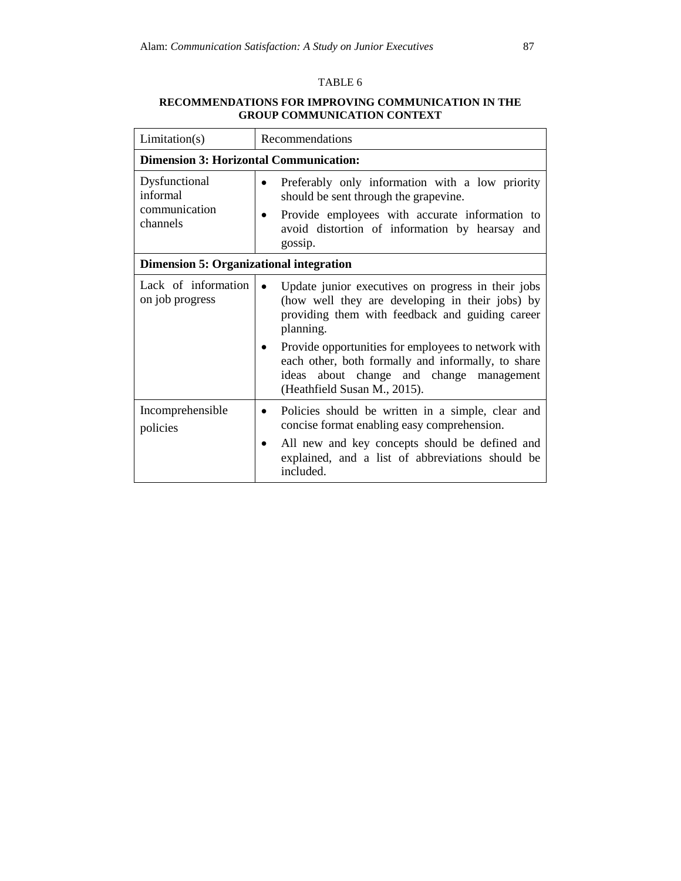# TABLE 6

# **RECOMMENDATIONS FOR IMPROVING COMMUNICATION IN THE GROUP COMMUNICATION CONTEXT**

| Limitation(s)                                          | Recommendations                                                                                                                                                                                                                                                                                                                                                                          |  |  |  |
|--------------------------------------------------------|------------------------------------------------------------------------------------------------------------------------------------------------------------------------------------------------------------------------------------------------------------------------------------------------------------------------------------------------------------------------------------------|--|--|--|
| <b>Dimension 3: Horizontal Communication:</b>          |                                                                                                                                                                                                                                                                                                                                                                                          |  |  |  |
| Dysfunctional<br>informal<br>communication<br>channels | Preferably only information with a low priority<br>$\bullet$<br>should be sent through the grapevine.<br>Provide employees with accurate information to<br>$\bullet$<br>avoid distortion of information by hearsay and<br>gossip.                                                                                                                                                        |  |  |  |
| <b>Dimension 5: Organizational integration</b>         |                                                                                                                                                                                                                                                                                                                                                                                          |  |  |  |
| Lack of information<br>on job progress                 | Update junior executives on progress in their jobs<br>$\bullet$<br>(how well they are developing in their jobs) by<br>providing them with feedback and guiding career<br>planning.<br>Provide opportunities for employees to network with<br>$\bullet$<br>each other, both formally and informally, to share<br>ideas about change and change management<br>(Heathfield Susan M., 2015). |  |  |  |
| Incomprehensible<br>policies                           | Policies should be written in a simple, clear and<br>concise format enabling easy comprehension.<br>All new and key concepts should be defined and<br>$\bullet$<br>explained, and a list of abbreviations should be<br>included.                                                                                                                                                         |  |  |  |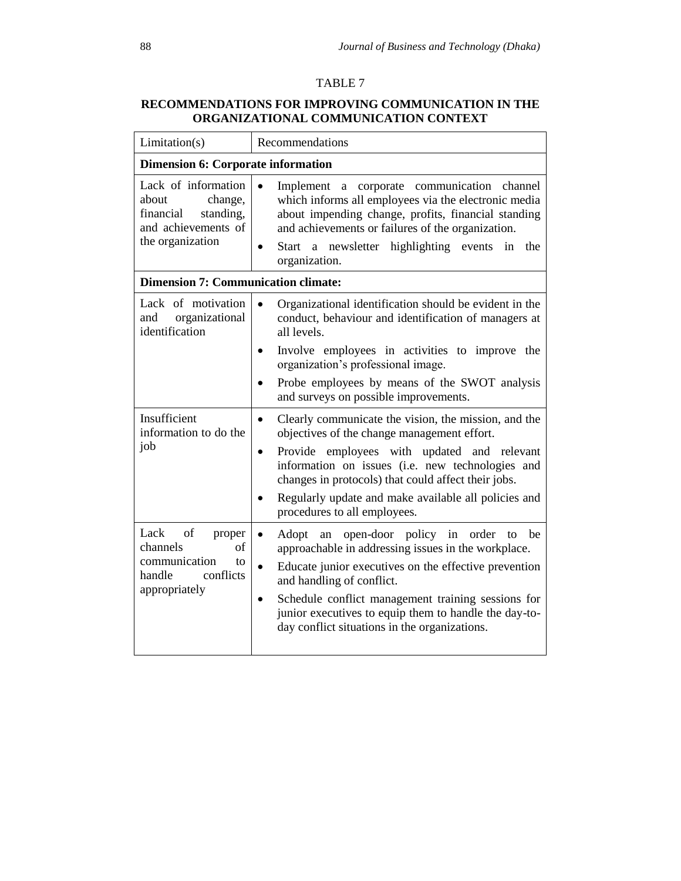# TABLE 7

# **RECOMMENDATIONS FOR IMPROVING COMMUNICATION IN THE ORGANIZATIONAL COMMUNICATION CONTEXT**

| Limitation(s)                                                                                                | Recommendations                                                                                                                                                                                                                                                                                                                                                                                             |  |  |
|--------------------------------------------------------------------------------------------------------------|-------------------------------------------------------------------------------------------------------------------------------------------------------------------------------------------------------------------------------------------------------------------------------------------------------------------------------------------------------------------------------------------------------------|--|--|
| <b>Dimension 6: Corporate information</b>                                                                    |                                                                                                                                                                                                                                                                                                                                                                                                             |  |  |
| Lack of information<br>about<br>change,<br>standing,<br>financial<br>and achievements of<br>the organization | a corporate communication channel<br>Implement<br>which informs all employees via the electronic media<br>about impending change, profits, financial standing<br>and achievements or failures of the organization.<br>Start a newsletter highlighting events<br>the<br>in<br>organization.                                                                                                                  |  |  |
| <b>Dimension 7: Communication climate:</b>                                                                   |                                                                                                                                                                                                                                                                                                                                                                                                             |  |  |
| Lack of motivation<br>organizational<br>and<br>identification                                                | Organizational identification should be evident in the<br>conduct, behaviour and identification of managers at<br>all levels.                                                                                                                                                                                                                                                                               |  |  |
|                                                                                                              | Involve employees in activities to improve the<br>organization's professional image.<br>Probe employees by means of the SWOT analysis                                                                                                                                                                                                                                                                       |  |  |
|                                                                                                              | and surveys on possible improvements.                                                                                                                                                                                                                                                                                                                                                                       |  |  |
| Insufficient<br>information to do the<br>job                                                                 | Clearly communicate the vision, the mission, and the<br>$\bullet$<br>objectives of the change management effort.<br>Provide employees with updated and relevant<br>$\bullet$<br>information on issues (i.e. new technologies and<br>changes in protocols) that could affect their jobs.<br>Regularly update and make available all policies and<br>procedures to all employees.                             |  |  |
| of<br>Lack<br>proper<br>of<br>channels<br>communication<br>to<br>handle<br>conflicts<br>appropriately        | open-door policy in<br>order<br>be<br>$\bullet$<br>Adopt<br>an<br>to<br>approachable in addressing issues in the workplace.<br>Educate junior executives on the effective prevention<br>$\bullet$<br>and handling of conflict.<br>Schedule conflict management training sessions for<br>$\bullet$<br>junior executives to equip them to handle the day-to-<br>day conflict situations in the organizations. |  |  |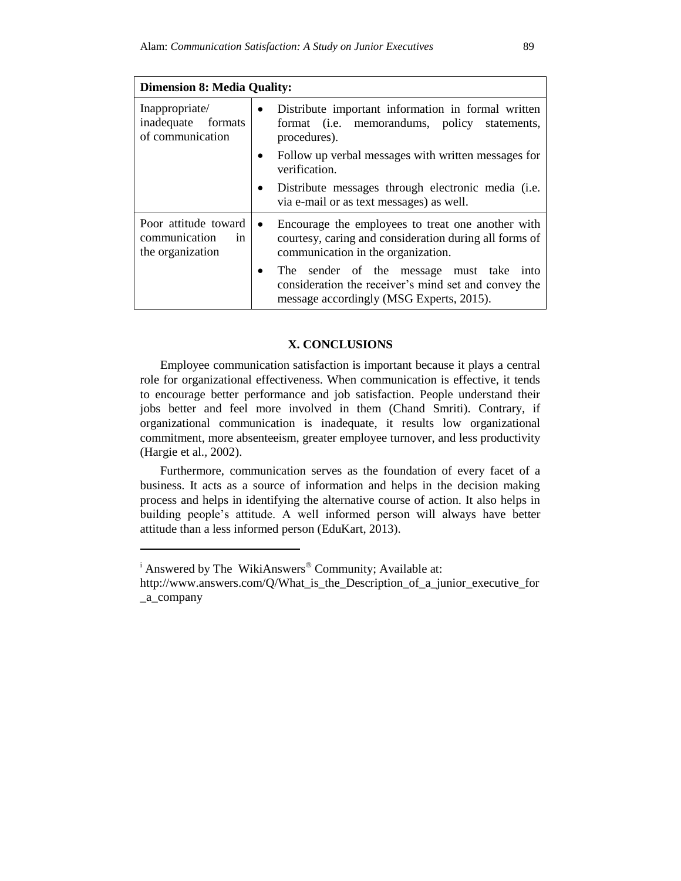| <b>Dimension 8: Media Quality:</b>                              |           |                                                                                                                                                   |  |
|-----------------------------------------------------------------|-----------|---------------------------------------------------------------------------------------------------------------------------------------------------|--|
| Inappropriate/<br>inadequate formats<br>of communication        | $\bullet$ | Distribute important information in formal written<br>format (i.e. memorandums, policy statements,<br>procedures).                                |  |
|                                                                 |           | Follow up verbal messages with written messages for<br>verification.                                                                              |  |
|                                                                 |           | Distribute messages through electronic media (i.e.<br>via e-mail or as text messages) as well.                                                    |  |
| Poor attitude toward<br>communication<br>in<br>the organization | $\bullet$ | Encourage the employees to treat one another with<br>courtesy, caring and consideration during all forms of<br>communication in the organization. |  |
|                                                                 | ٠         | The sender of the message must take<br>into<br>consideration the receiver's mind set and convey the<br>message accordingly (MSG Experts, 2015).   |  |

# **X. CONCLUSIONS**

Employee communication satisfaction is important because it plays a central role for organizational effectiveness. When communication is effective, it tends to encourage better performance and job satisfaction. People understand their jobs better and feel more involved in them (Chand Smriti). Contrary, if organizational communication is inadequate, it results low organizational commitment, more absenteeism, greater employee turnover, and less productivity (Hargie et al.*,* 2002).

Furthermore, communication serves as the foundation of every facet of a business. It acts as a source of information and helps in the decision making process and helps in identifying the alternative course of action. It also helps in building people"s attitude. A well informed person will always have better attitude than a less informed person [\(EduKart,](http://www.edukart.com/blog/author/admin/) 2013).

l

<sup>&</sup>lt;sup>i</sup> Answered by The WikiAnswers<sup>®</sup> Community; Available at:

http://www.answers.com/Q/What is the Description of a junior executive for \_a\_company